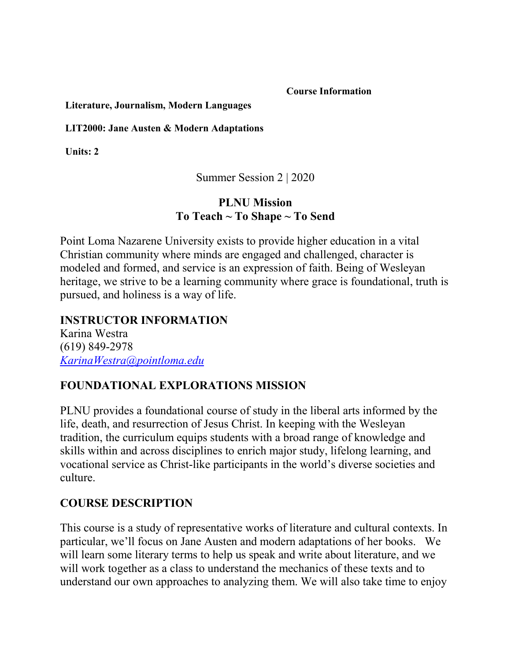**Course Information**

#### **Literature, Journalism, Modern Languages**

#### **LIT2000: Jane Austen & Modern Adaptations**

**Units: 2**

Summer Session 2 | 2020

#### **PLNU Mission To Teach ~ To Shape ~ To Send**

Point Loma Nazarene University exists to provide higher education in a vital Christian community where minds are engaged and challenged, character is modeled and formed, and service is an expression of faith. Being of Wesleyan heritage, we strive to be a learning community where grace is foundational, truth is pursued, and holiness is a way of life.

**INSTRUCTOR INFORMATION** Karina Westra (619) 849-2978 *[KarinaWestra@pointloma.edu](mailto:andavis@pointloma.edu)*

### **FOUNDATIONAL EXPLORATIONS MISSION**

PLNU provides a foundational course of study in the liberal arts informed by the life, death, and resurrection of Jesus Christ. In keeping with the Wesleyan tradition, the curriculum equips students with a broad range of knowledge and skills within and across disciplines to enrich major study, lifelong learning, and vocational service as Christ-like participants in the world's diverse societies and culture.

### **COURSE DESCRIPTION**

This course is a study of representative works of literature and cultural contexts. In particular, we'll focus on Jane Austen and modern adaptations of her books. We will learn some literary terms to help us speak and write about literature, and we will work together as a class to understand the mechanics of these texts and to understand our own approaches to analyzing them. We will also take time to enjoy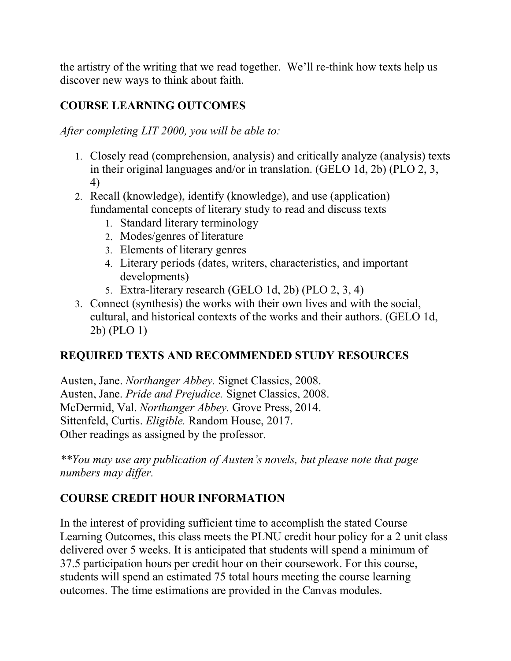the artistry of the writing that we read together. We'll re-think how texts help us discover new ways to think about faith.

### **COURSE LEARNING OUTCOMES**

*After completing LIT 2000, you will be able to:*

- 1. Closely read (comprehension, analysis) and critically analyze (analysis) texts in their original languages and/or in translation. (GELO 1d, 2b) (PLO 2, 3, 4)
- 2. Recall (knowledge), identify (knowledge), and use (application) fundamental concepts of literary study to read and discuss texts
	- 1. Standard literary terminology
	- 2. Modes/genres of literature
	- 3. Elements of literary genres
	- 4. Literary periods (dates, writers, characteristics, and important developments)
	- 5. Extra-literary research (GELO 1d, 2b) (PLO 2, 3, 4)
- 3. Connect (synthesis) the works with their own lives and with the social, cultural, and historical contexts of the works and their authors. (GELO 1d, 2b) (PLO 1)

# **REQUIRED TEXTS AND RECOMMENDED STUDY RESOURCES**

Austen, Jane. *Northanger Abbey.* Signet Classics, 2008. Austen, Jane. *Pride and Prejudice.* Signet Classics, 2008. McDermid, Val. *Northanger Abbey.* Grove Press, 2014. Sittenfeld, Curtis. *Eligible.* Random House, 2017. Other readings as assigned by the professor.

*\*\*You may use any publication of Austen's novels, but please note that page numbers may differ.*

### **COURSE CREDIT HOUR INFORMATION**

In the interest of providing sufficient time to accomplish the stated Course Learning Outcomes, this class meets the PLNU credit hour policy for a 2 unit class delivered over 5 weeks. It is anticipated that students will spend a minimum of 37.5 participation hours per credit hour on their coursework. For this course, students will spend an estimated 75 total hours meeting the course learning outcomes. The time estimations are provided in the Canvas modules.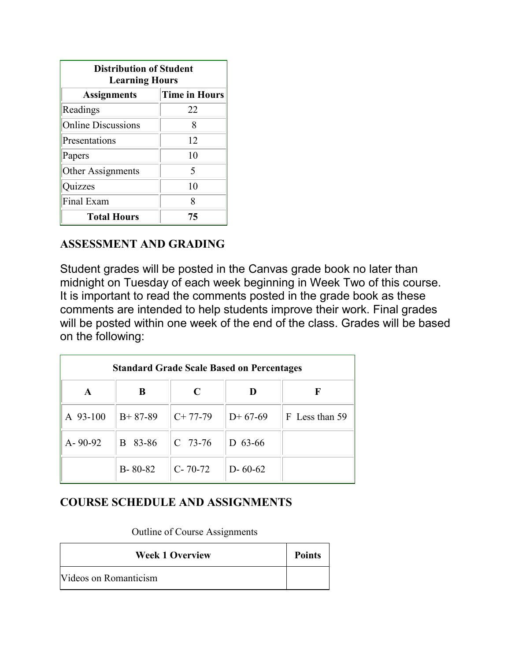| <b>Distribution of Student</b><br><b>Learning Hours</b> |                      |  |  |
|---------------------------------------------------------|----------------------|--|--|
| <b>Assignments</b>                                      | <b>Time in Hours</b> |  |  |
| Readings                                                | 22                   |  |  |
| <b>Online Discussions</b>                               | 8                    |  |  |
| Presentations                                           | 12                   |  |  |
| Papers                                                  | 10                   |  |  |
| Other Assignments                                       | 5                    |  |  |
| Quizzes                                                 | 10                   |  |  |
| Final Exam                                              | 8                    |  |  |
| <b>Total Hours</b>                                      | 75                   |  |  |

#### **ASSESSMENT AND GRADING**

Student grades will be posted in the Canvas grade book no later than midnight on Tuesday of each week beginning in Week Two of this course. It is important to read the comments posted in the grade book as these comments are intended to help students improve their work. Final grades will be posted within one week of the end of the class. Grades will be based on the following:

| <b>Standard Grade Scale Based on Percentages</b> |               |               |               |                |  |
|--------------------------------------------------|---------------|---------------|---------------|----------------|--|
| A                                                | B             | C             |               | F              |  |
| A 93-100                                         | $B+87-89$     | $C+77-79$     | $D+67-69$     | F Less than 59 |  |
| $A - 90 - 92$                                    | B 83-86       | $C$ 73-76     | $D$ 63-66     |                |  |
|                                                  | $B - 80 - 82$ | $C - 70 - 72$ | $D - 60 - 62$ |                |  |

### **COURSE SCHEDULE AND ASSIGNMENTS**

Outline of Course Assignments

| <b>Week 1 Overview</b> | <b>Points</b> |
|------------------------|---------------|
| Videos on Romanticism  |               |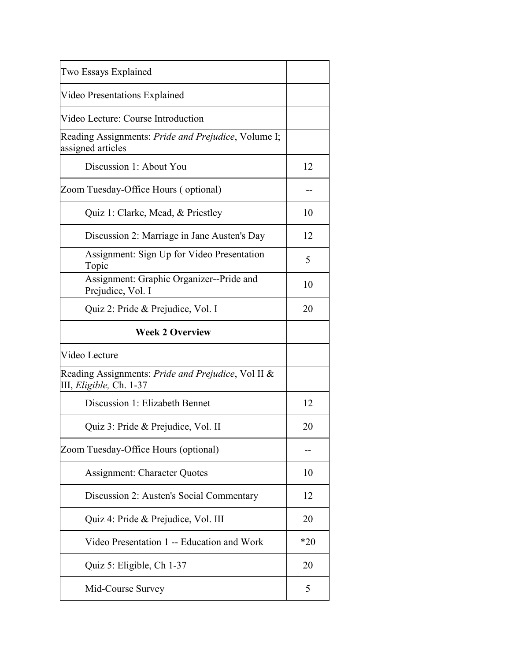| 12    |
|-------|
|       |
| 10    |
| 12    |
| 5     |
| 10    |
| 20    |
|       |
|       |
|       |
| 12    |
| 20    |
|       |
| 10    |
| 12    |
| 20    |
| $*20$ |
| 20    |
| 5     |
|       |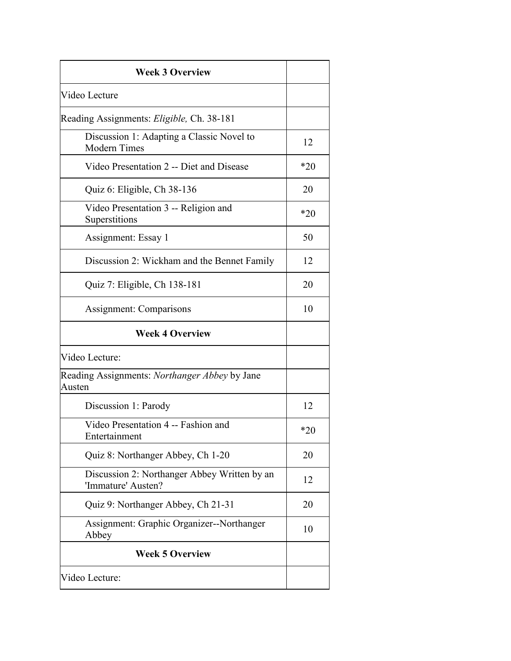| <b>Week 3 Overview</b>                                             |       |
|--------------------------------------------------------------------|-------|
| Video Lecture                                                      |       |
| Reading Assignments: Eligible, Ch. 38-181                          |       |
| Discussion 1: Adapting a Classic Novel to<br><b>Modern Times</b>   | 12    |
| Video Presentation 2 -- Diet and Disease                           | $*20$ |
| Quiz 6: Eligible, Ch 38-136                                        | 20    |
| Video Presentation 3 -- Religion and<br>Superstitions              | $*20$ |
| Assignment: Essay 1                                                | 50    |
| Discussion 2: Wickham and the Bennet Family                        | 12    |
| Quiz 7: Eligible, Ch 138-181                                       | 20    |
| Assignment: Comparisons                                            | 10    |
| <b>Week 4 Overview</b>                                             |       |
| Video Lecture:                                                     |       |
| Reading Assignments: Northanger Abbey by Jane<br>Austen            |       |
| Discussion 1: Parody                                               | 12    |
| Video Presentation 4 -- Fashion and<br>Entertainment               | $*20$ |
| Quiz 8: Northanger Abbey, Ch 1-20                                  | 20    |
| Discussion 2: Northanger Abbey Written by an<br>'Immature' Austen? | 12    |
| Quiz 9: Northanger Abbey, Ch 21-31                                 | 20    |
| Assignment: Graphic Organizer--Northanger<br>Abbey                 | 10    |
| <b>Week 5 Overview</b>                                             |       |
| Video Lecture:                                                     |       |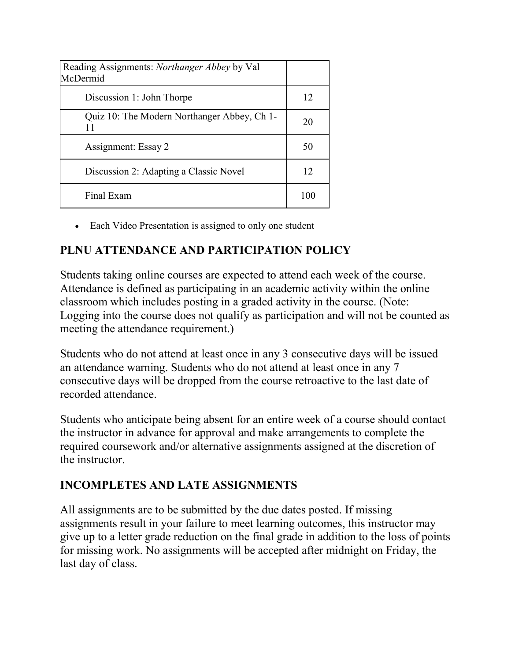| Reading Assignments: <i>Northanger Abbey</i> by Val<br>McDermid |     |
|-----------------------------------------------------------------|-----|
| Discussion 1: John Thorpe                                       | 12  |
| Quiz 10: The Modern Northanger Abbey, Ch 1-<br>11               | 20  |
| Assignment: Essay 2                                             | 50  |
| Discussion 2: Adapting a Classic Novel                          | 12  |
| Final Exam                                                      | 100 |

• Each Video Presentation is assigned to only one student

# **PLNU ATTENDANCE AND PARTICIPATION POLICY**

Students taking online courses are expected to attend each week of the course. Attendance is defined as participating in an academic activity within the online classroom which includes posting in a graded activity in the course. (Note: Logging into the course does not qualify as participation and will not be counted as meeting the attendance requirement.)

Students who do not attend at least once in any 3 consecutive days will be issued an attendance warning. Students who do not attend at least once in any 7 consecutive days will be dropped from the course retroactive to the last date of recorded attendance.

Students who anticipate being absent for an entire week of a course should contact the instructor in advance for approval and make arrangements to complete the required coursework and/or alternative assignments assigned at the discretion of the instructor.

### **INCOMPLETES AND LATE ASSIGNMENTS**

All assignments are to be submitted by the due dates posted. If missing assignments result in your failure to meet learning outcomes, this instructor may give up to a letter grade reduction on the final grade in addition to the loss of points for missing work. No assignments will be accepted after midnight on Friday, the last day of class.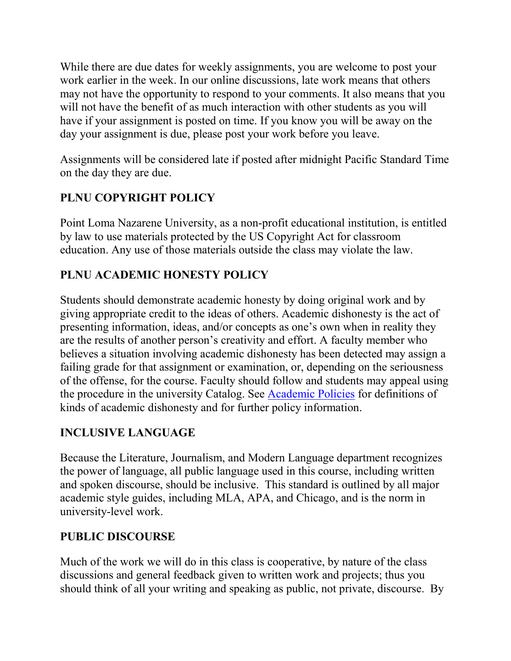While there are due dates for weekly assignments, you are welcome to post your work earlier in the week. In our online discussions, late work means that others may not have the opportunity to respond to your comments. It also means that you will not have the benefit of as much interaction with other students as you will have if your assignment is posted on time. If you know you will be away on the day your assignment is due, please post your work before you leave.

Assignments will be considered late if posted after midnight Pacific Standard Time on the day they are due.

# **PLNU COPYRIGHT POLICY**

Point Loma Nazarene University, as a non-profit educational institution, is entitled by law to use materials protected by the US Copyright Act for classroom education. Any use of those materials outside the class may violate the law.

# **PLNU ACADEMIC HONESTY POLICY**

Students should demonstrate academic honesty by doing original work and by giving appropriate credit to the ideas of others. Academic dishonesty is the act of presenting information, ideas, and/or concepts as one's own when in reality they are the results of another person's creativity and effort. A faculty member who believes a situation involving academic dishonesty has been detected may assign a failing grade for that assignment or examination, or, depending on the seriousness of the offense, for the course. Faculty should follow and students may appeal using the procedure in the university Catalog. See [Academic Policies](http://catalog.pointloma.edu/content.php?catoid=18&navoid=1278) for definitions of kinds of academic dishonesty and for further policy information.

# **INCLUSIVE LANGUAGE**

Because the Literature, Journalism, and Modern Language department recognizes the power of language, all public language used in this course, including written and spoken discourse, should be inclusive. This standard is outlined by all major academic style guides, including MLA, APA, and Chicago, and is the norm in university-level work.

# **PUBLIC DISCOURSE**

Much of the work we will do in this class is cooperative, by nature of the class discussions and general feedback given to written work and projects; thus you should think of all your writing and speaking as public, not private, discourse. By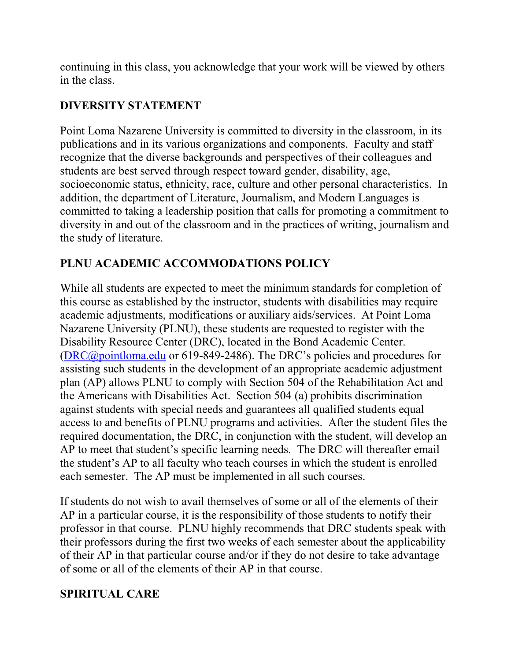continuing in this class, you acknowledge that your work will be viewed by others in the class.

### **DIVERSITY STATEMENT**

Point Loma Nazarene University is committed to diversity in the classroom, in its publications and in its various organizations and components. Faculty and staff recognize that the diverse backgrounds and perspectives of their colleagues and students are best served through respect toward gender, disability, age, socioeconomic status, ethnicity, race, culture and other personal characteristics. In addition, the department of Literature, Journalism, and Modern Languages is committed to taking a leadership position that calls for promoting a commitment to diversity in and out of the classroom and in the practices of writing, journalism and the study of literature.

# **PLNU ACADEMIC ACCOMMODATIONS POLICY**

While all students are expected to meet the minimum standards for completion of this course as established by the instructor, students with disabilities may require academic adjustments, modifications or auxiliary aids/services. At Point Loma Nazarene University (PLNU), these students are requested to register with the Disability Resource Center (DRC), located in the Bond Academic Center. [\(DRC@pointloma.edu](mailto:DRC@pointloma.edu) or 619-849-2486). The DRC's policies and procedures for assisting such students in the development of an appropriate academic adjustment plan (AP) allows PLNU to comply with Section 504 of the Rehabilitation Act and the Americans with Disabilities Act. Section 504 (a) prohibits discrimination against students with special needs and guarantees all qualified students equal access to and benefits of PLNU programs and activities. After the student files the required documentation, the DRC, in conjunction with the student, will develop an AP to meet that student's specific learning needs. The DRC will thereafter email the student's AP to all faculty who teach courses in which the student is enrolled each semester. The AP must be implemented in all such courses.

If students do not wish to avail themselves of some or all of the elements of their AP in a particular course, it is the responsibility of those students to notify their professor in that course. PLNU highly recommends that DRC students speak with their professors during the first two weeks of each semester about the applicability of their AP in that particular course and/or if they do not desire to take advantage of some or all of the elements of their AP in that course.

# **SPIRITUAL CARE**